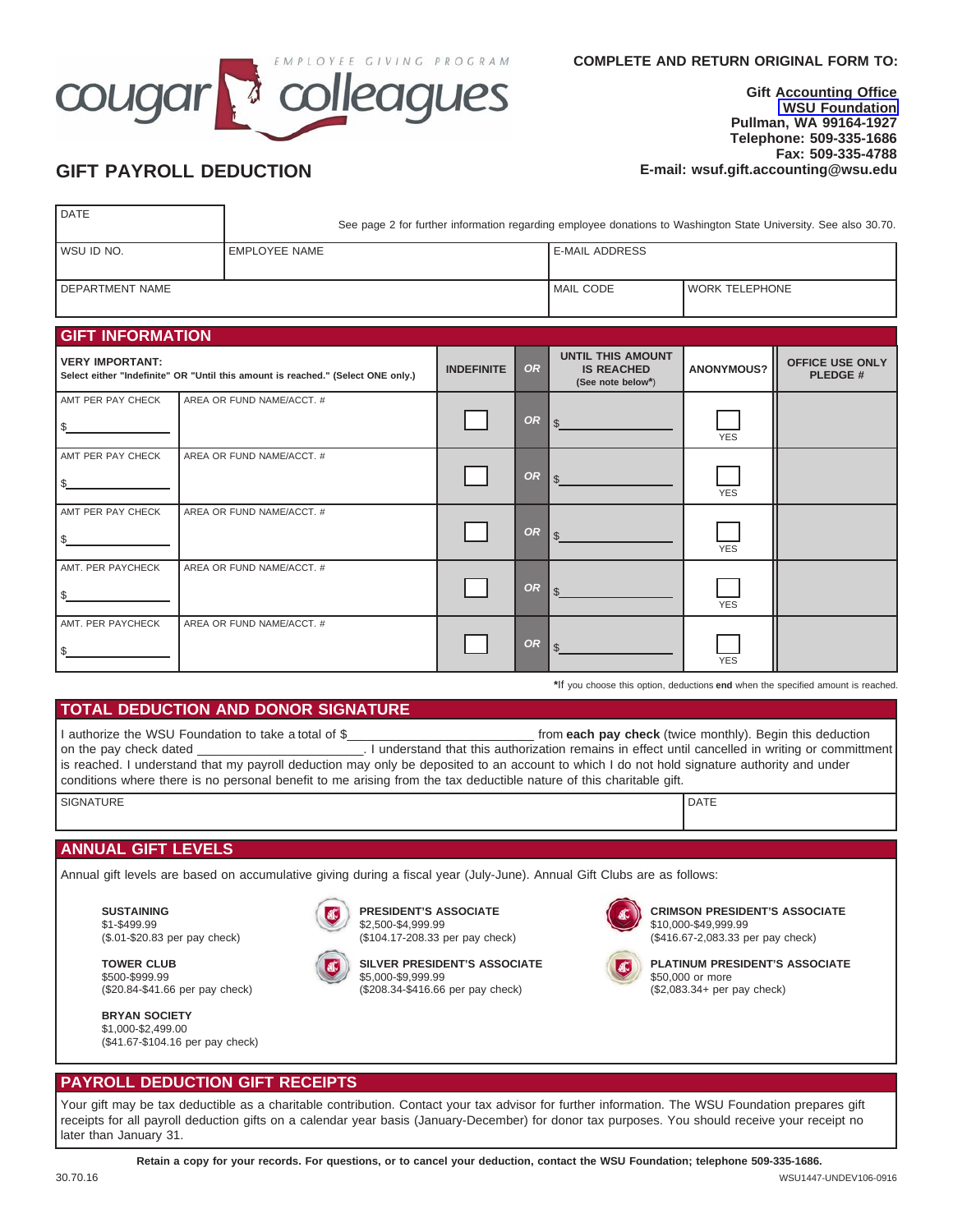

#### **Gift Accounting Office [WSU Foundation](mailto:foundation@wsu.edu) Pullman, WA 99164-1927 Telephone: 509-335-1686 Fax: 509-335-4788 GIFT PAYROLL DEDUCTION E-mail: wsuf.gift.accounting@wsu.edu**

| <b>DATE</b>       | See page 2 for further information regarding employee donations to Washington State University. See also 30.70. |                    |                  |  |  |  |
|-------------------|-----------------------------------------------------------------------------------------------------------------|--------------------|------------------|--|--|--|
| I WSU ID NO.      | I EMPLOYEE NAME                                                                                                 | I E-MAIL ADDRESS   |                  |  |  |  |
|                   |                                                                                                                 |                    |                  |  |  |  |
| I DEPARTMENT NAME |                                                                                                                 | <b>I MAIL CODE</b> | l WORK TELEPHONE |  |  |  |

| <b>GIFT INFORMATION</b>                                                                             |                           |                   |           |                                                                    |                   |                                          |  |
|-----------------------------------------------------------------------------------------------------|---------------------------|-------------------|-----------|--------------------------------------------------------------------|-------------------|------------------------------------------|--|
| VERY IMPORTANT:<br>Select either "Indefinite" OR "Until this amount is reached." (Select ONE only.) |                           | <b>INDEFINITE</b> | <b>OR</b> | <b>UNTIL THIS AMOUNT</b><br><b>IS REACHED</b><br>(See note below*) | <b>ANONYMOUS?</b> | <b>OFFICE USE ONLY</b><br><b>PLEDGE#</b> |  |
| AMT PER PAY CHECK                                                                                   | AREA OR FUND NAME/ACCT. # |                   |           |                                                                    |                   |                                          |  |
| \$                                                                                                  |                           |                   | <b>OR</b> | \$                                                                 | <b>YES</b>        |                                          |  |
| AMT PER PAY CHECK                                                                                   | AREA OR FUND NAME/ACCT. # |                   |           |                                                                    |                   |                                          |  |
| \$                                                                                                  |                           |                   | <b>OR</b> |                                                                    | <b>YES</b>        |                                          |  |
| AMT PER PAY CHECK                                                                                   | AREA OR FUND NAME/ACCT. # |                   |           |                                                                    |                   |                                          |  |
| \$                                                                                                  |                           |                   | <b>OR</b> | \$.                                                                | <b>YES</b>        |                                          |  |
| AMT. PER PAYCHECK                                                                                   | AREA OR FUND NAME/ACCT. # |                   |           |                                                                    |                   |                                          |  |
| \$                                                                                                  |                           |                   | <b>OR</b> |                                                                    | <b>YES</b>        |                                          |  |
| AMT. PER PAYCHECK                                                                                   | AREA OR FUND NAME/ACCT. # |                   |           |                                                                    |                   |                                          |  |
| \$                                                                                                  |                           |                   | <b>OR</b> |                                                                    | <b>YES</b>        |                                          |  |

**\***If you choose this option, deductions **end** when the specified amount is reached.

#### **TOTAL DEDUCTION AND DONOR SIGNATURE**

SIGNATURE DATE DESCRIPTION OF SERVICES AND LOCAL CONTRACTOR OF DATE OF SIGNATURE DATE I authorize the WSU Foundation to take a total of \$\_\_\_\_\_\_\_\_\_\_\_\_\_\_\_\_\_\_\_\_\_\_\_\_\_\_\_ from **each pay check** (twice monthly). Begin this deduction on the pay check dated \_\_\_\_\_\_\_\_\_\_\_\_\_\_\_\_\_\_\_\_\_\_\_\_. I understand that this authorization remains in effect until cancelled in writing or committment is reached. I understand that my payroll deduction may only be deposited to an account to which I do not hold signature authority and under conditions where there is no personal benefit to me arising from the tax deductible nature of this charitable gift.

|  | <b>ANNUAL GIFT LEVELS</b> |  |
|--|---------------------------|--|
|  |                           |  |

Annual gift levels are based on accumulative giving during a fiscal year (July-June). Annual Gift Clubs are as follows:

**SUSTAINING** \$1-\$499.99 (\$.01-\$20.83 per pay check)

(\$20.84-\$41.66 per pay check)

(\$41.67-\$104.16 per pay check)

**TOWER CLUB** \$500-\$999.99

**BRYAN SOCIETY** \$1,000-\$2,499.00

**PRESIDENT'S ASSOCIATE** \$2,500-\$4,999.99 (\$104.17-208.33 per pay check)



**SILVER PRESIDENT'S ASSOCIATE**

\$5,000-\$9,999.99 (\$208.34-\$416.66 per pay check)



**CRIMSON PRESIDENT'S ASSOCIATE** \$10,000-\$49,999.99 (\$416.67-2,083.33 per pay check)



**PLATINUM PRESIDENT'S ASSOCIATE** \$50,000 or more (\$2,083.34+ per pay check)

### **PAYROLL DEDUCTION GIFT RECEIPTS**

Your gift may be tax deductible as a charitable contribution. Contact your tax advisor for further information. The WSU Foundation prepares gift receipts for all payroll deduction gifts on a calendar year basis (January-December) for donor tax purposes. You should receive your receipt no later than January 31.